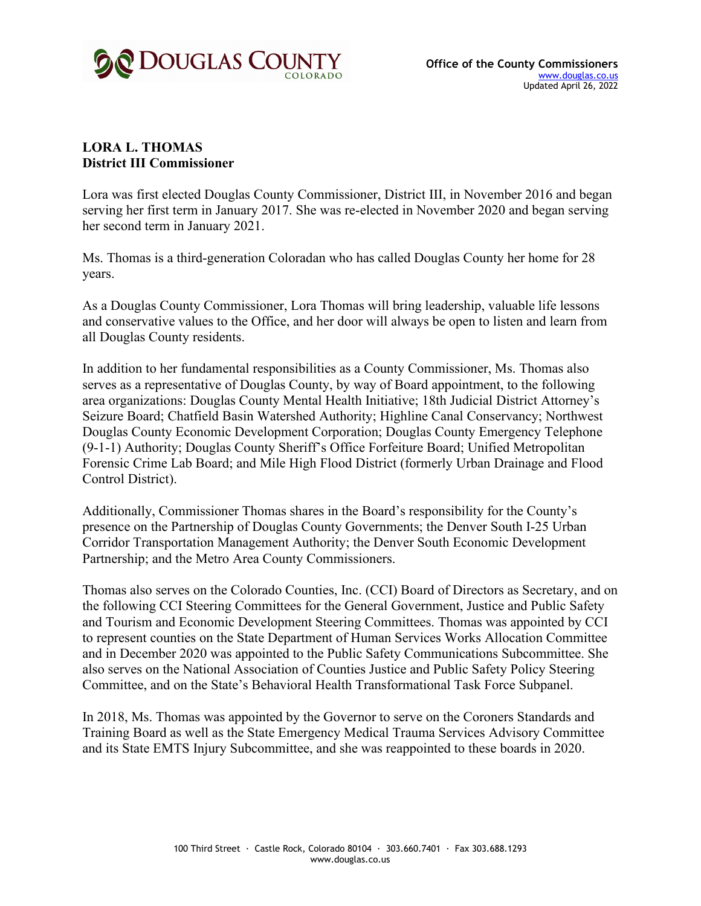

## **LORA L. THOMAS District III Commissioner**

Lora was first elected Douglas County Commissioner, District III, in November 2016 and began serving her first term in January 2017. She was re-elected in November 2020 and began serving her second term in January 2021.

Ms. Thomas is a third-generation Coloradan who has called Douglas County her home for 28 years.

As a Douglas County Commissioner, Lora Thomas will bring leadership, valuable life lessons and conservative values to the Office, and her door will always be open to listen and learn from all Douglas County residents.

In addition to her fundamental responsibilities as a County Commissioner, Ms. Thomas also serves as a representative of Douglas County, by way of Board appointment, to the following area organizations: Douglas County Mental Health Initiative; 18th Judicial District Attorney's Seizure Board; Chatfield Basin Watershed Authority; Highline Canal Conservancy; Northwest Douglas County Economic Development Corporation; Douglas County Emergency Telephone (9-1-1) Authority; Douglas County Sheriff's Office Forfeiture Board; Unified Metropolitan Forensic Crime Lab Board; and Mile High Flood District (formerly Urban Drainage and Flood Control District).

Additionally, Commissioner Thomas shares in the Board's responsibility for the County's presence on the Partnership of Douglas County Governments; the Denver South I-25 Urban Corridor Transportation Management Authority; the Denver South Economic Development Partnership; and the Metro Area County Commissioners.

Thomas also serves on the Colorado Counties, Inc. (CCI) Board of Directors as Secretary, and on the following CCI Steering Committees for the General Government, Justice and Public Safety and Tourism and Economic Development Steering Committees. Thomas was appointed by CCI to represent counties on the State Department of Human Services Works Allocation Committee and in December 2020 was appointed to the Public Safety Communications Subcommittee. She also serves on the National Association of Counties Justice and Public Safety Policy Steering Committee, and on the State's Behavioral Health Transformational Task Force Subpanel.

In 2018, Ms. Thomas was appointed by the Governor to serve on the Coroners Standards and Training Board as well as the State Emergency Medical Trauma Services Advisory Committee and its State EMTS Injury Subcommittee, and she was reappointed to these boards in 2020.